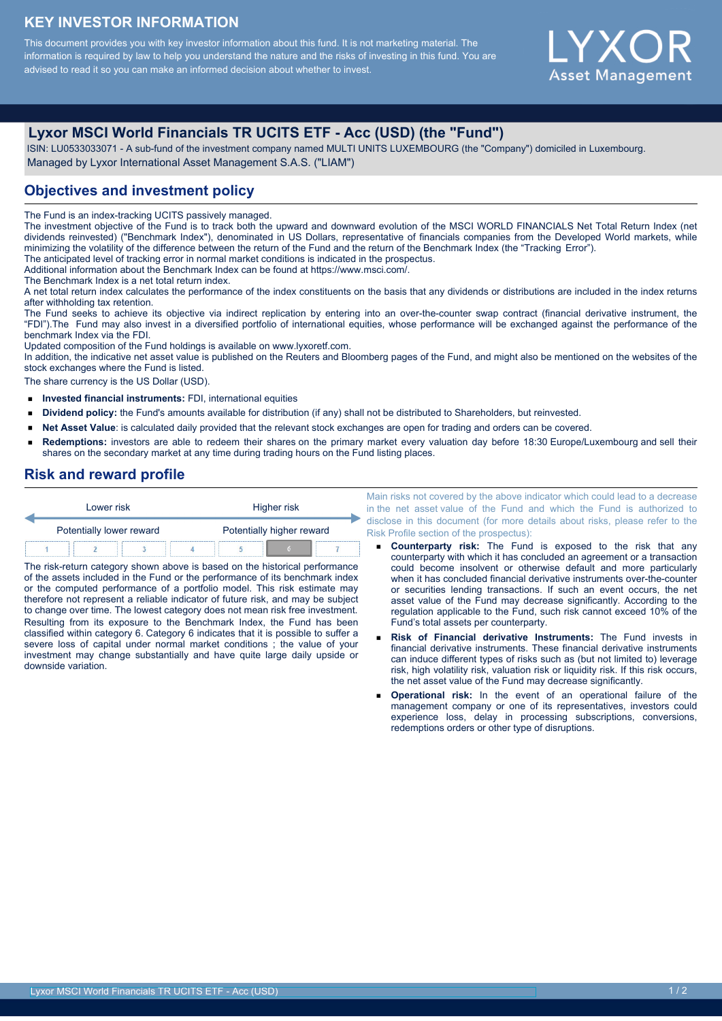# **KEY INVESTOR INFORMATION**

This document provides you with key investor information about this fund. It is not marketing material. The information is required by law to help you understand the nature and the risks of investing in this fund. You are advised to read it so you can make an informed decision about whether to invest.

# Y X ( ) **Asset Management**

# **Lyxor MSCI World Financials TR UCITS ETF - Acc (USD) (the "Fund")**

 ISIN: LU0533033071 - A sub-fund of the investment company named MULTI UNITS LUXEMBOURG (the "Company") domiciled in Luxembourg. Managed by Lyxor International Asset Management S.A.S. ("LIAM")

# **Objectives and investment policy**

The Fund is an index-tracking UCITS passively managed.

The investment objective of the Fund is to track both the upward and downward evolution of the MSCI WORLD FINANCIALS Net Total Return Index (net dividends reinvested) ("Benchmark Index"), denominated in US Dollars, representative of financials companies from the Developed World markets, while minimizing the volatility of the difference between the return of the Fund and the return of the Benchmark Index (the "Tracking Error"). The anticipated level of tracking error in normal market conditions is indicated in the prospectus.

Additional information about the Benchmark Index can be found at https://www.msci.com/.

The Benchmark Index is a net total return index.

A net total return index calculates the performance of the index constituents on the basis that any dividends or distributions are included in the index returns after withholding tax retention.

The Fund seeks to achieve its objective via indirect replication by entering into an over-the-counter swap contract (financial derivative instrument, the "FDI").The Fund may also invest in a diversified portfolio of international equities, whose performance will be exchanged against the performance of the benchmark Index via the FDI.

Updated composition of the Fund holdings is available on www.lyxoretf.com.

In addition, the indicative net asset value is published on the Reuters and Bloomberg pages of the Fund, and might also be mentioned on the websites of the stock exchanges where the Fund is listed.

The share currency is the US Dollar (USD).

- **Invested financial instruments:** FDI, international equities  $\blacksquare$
- **Dividend policy:** the Fund's amounts available for distribution (if any) shall not be distributed to Shareholders, but reinvested.  $\blacksquare$
- $\blacksquare$ **Net Asset Value**: is calculated daily provided that the relevant stock exchanges are open for trading and orders can be covered.
- **Redemptions:** investors are able to redeem their shares on the primary market every valuation day before 18:30 Europe/Luxembourg and sell their shares on the secondary market at any time during trading hours on the Fund listing places.

#### **Risk and reward profile**

| Lower risk               |  |  | Higher risk |                           |  |  |  |
|--------------------------|--|--|-------------|---------------------------|--|--|--|
| Potentially lower reward |  |  |             | Potentially higher reward |  |  |  |
|                          |  |  |             |                           |  |  |  |

The risk-return category shown above is based on the historical performance of the assets included in the Fund or the performance of its benchmark index or the computed performance of a portfolio model. This risk estimate may therefore not represent a reliable indicator of future risk, and may be subject to change over time. The lowest category does not mean risk free investment. Resulting from its exposure to the Benchmark Index, the Fund has been classified within category 6. Category 6 indicates that it is possible to suffer a severe loss of capital under normal market conditions ; the value of your investment may change substantially and have quite large daily upside or downside variation.

Main risks not covered by the above indicator which could lead to a decrease in the net asset value of the Fund and which the Fund is authorized to disclose in this document (for more details about risks, please refer to the Risk Profile section of the prospectus):

- **Counterparty risk:** The Fund is exposed to the risk that any counterparty with which it has concluded an agreement or a transaction could become insolvent or otherwise default and more particularly when it has concluded financial derivative instruments over-the-counter or securities lending transactions. If such an event occurs, the net asset value of the Fund may decrease significantly. According to the regulation applicable to the Fund, such risk cannot exceed 10% of the Fund's total assets per counterparty.
- **Risk of Financial derivative Instruments:** The Fund invests in financial derivative instruments. These financial derivative instruments can induce different types of risks such as (but not limited to) leverage risk, high volatility risk, valuation risk or liquidity risk. If this risk occurs, the net asset value of the Fund may decrease significantly.
- **Operational risk:** In the event of an operational failure of the management company or one of its representatives, investors could experience loss, delay in processing subscriptions, conversions, redemptions orders or other type of disruptions.